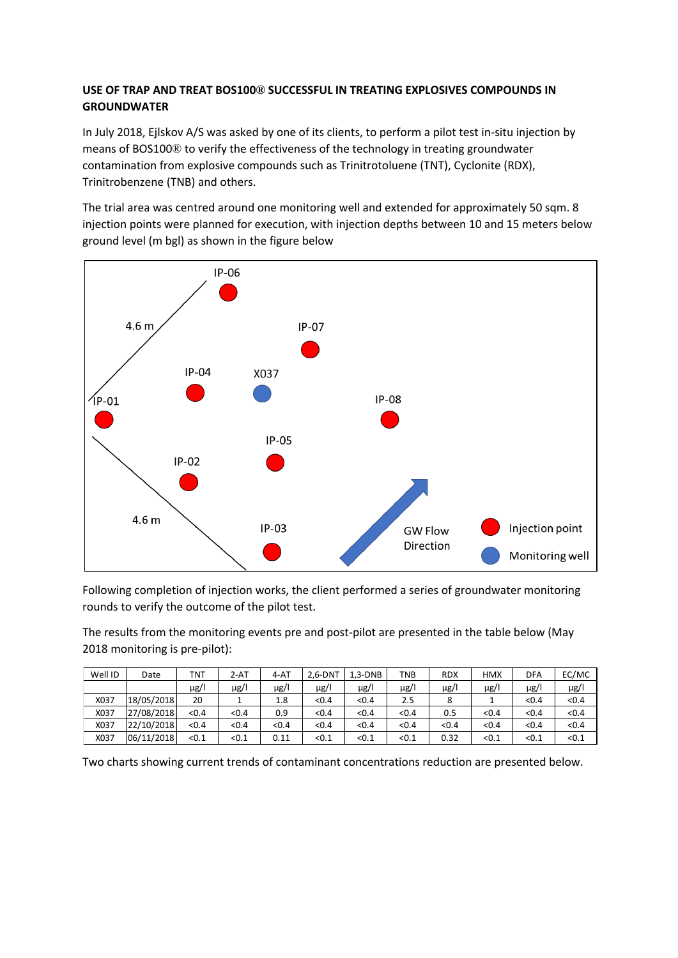## **USE OF TRAP AND TREAT BOS100® SUCCESSFUL IN TREATING EXPLOSIVES COMPOUNDS IN GROUNDWATER**

In July 2018, Ejlskov A/S was asked by one of its clients, to perform a pilot test in-situ injection by means of BOS100® to verify the effectiveness of the technology in treating groundwater contamination from explosive compounds such as Trinitrotoluene (TNT), Cyclonite (RDX), Trinitrobenzene (TNB) and others.

The trial area was centred around one monitoring well and extended for approximately 50 sqm. 8 injection points were planned for execution, with injection depths between 10 and 15 meters below ground level (m bgl) as shown in the figure below



Following completion of injection works, the client performed a series of groundwater monitoring rounds to verify the outcome of the pilot test.

The results from the monitoring events pre and post-pilot are presented in the table below (May 2018 monitoring is pre-pilot):

| Well ID | Date       | TNT   | $2 - AT$ | 4-AT  | $2.6 - DNT$ | $1.3-DNB$ | TNB       | <b>RDX</b> | <b>HMX</b> | DFA   | EC/MC |
|---------|------------|-------|----------|-------|-------------|-----------|-----------|------------|------------|-------|-------|
|         |            | μg/   | µg/l     | µg/l  | $\mu$ g/l   | µg/l      | $\mu$ g/l | µg/l       | µg/l       | µg/l  | µg/l  |
| X037    | 18/05/2018 | 20    |          | 1.8   | < 0.4       | < 0.4     | 2.5       |            |            | < 0.4 | < 0.4 |
| X037    | 27/08/2018 | < 0.4 | < 0.4    | 0.9   | < 0.4       | < 0.4     | < 0.4     | 0.5        | < 0.4      | < 0.4 | < 0.4 |
| X037    | 22/10/2018 | < 0.4 | < 0.4    | < 0.4 | < 0.4       | < 0.4     | < 0.4     | < 0.4      | < 0.4      | < 0.4 | < 0.4 |
| X037    | 06/11/2018 | < 0.1 | < 0.1    | 0.11  | < 0.1       | < 0.1     | < 0.1     | 0.32       | $<$ 0.1    | < 0.1 | < 0.1 |

Two charts showing current trends of contaminant concentrations reduction are presented below.